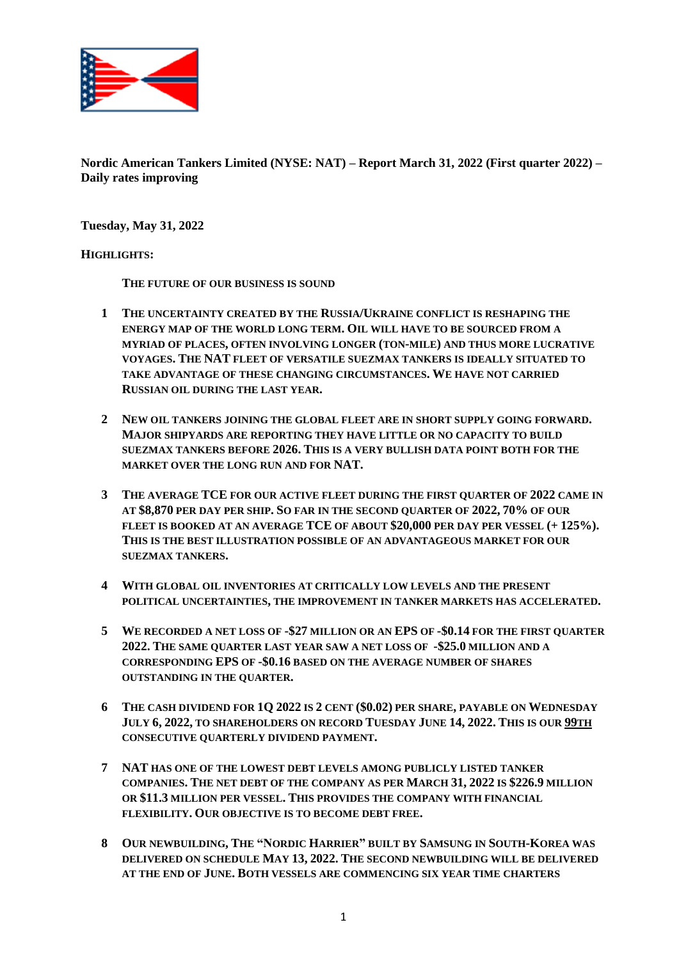

**Nordic American Tankers Limited (NYSE: NAT) – Report March 31, 2022 (First quarter 2022) – Daily rates improving**

**Tuesday, May 31, 2022**

#### **HIGHLIGHTS:**

**THE FUTURE OF OUR BUSINESS IS SOUND**

- **1 THE UNCERTAINTY CREATED BY THE RUSSIA/UKRAINE CONFLICT IS RESHAPING THE ENERGY MAP OF THE WORLD LONG TERM. OIL WILL HAVE TO BE SOURCED FROM A MYRIAD OF PLACES, OFTEN INVOLVING LONGER (TON-MILE) AND THUS MORE LUCRATIVE VOYAGES. THE NAT FLEET OF VERSATILE SUEZMAX TANKERS IS IDEALLY SITUATED TO TAKE ADVANTAGE OF THESE CHANGING CIRCUMSTANCES. WE HAVE NOT CARRIED RUSSIAN OIL DURING THE LAST YEAR.**
- **2 NEW OIL TANKERS JOINING THE GLOBAL FLEET ARE IN SHORT SUPPLY GOING FORWARD. MAJOR SHIPYARDS ARE REPORTING THEY HAVE LITTLE OR NO CAPACITY TO BUILD SUEZMAX TANKERS BEFORE 2026. THIS IS A VERY BULLISH DATA POINT BOTH FOR THE MARKET OVER THE LONG RUN AND FOR NAT.**
- **3 THE AVERAGE TCE FOR OUR ACTIVE FLEET DURING THE FIRST QUARTER OF 2022 CAME IN AT \$8,870 PER DAY PER SHIP. SO FAR IN THE SECOND QUARTER OF 2022, 70% OF OUR FLEET IS BOOKED AT AN AVERAGE TCE OF ABOUT \$20,000 PER DAY PER VESSEL (+ 125%). THIS IS THE BEST ILLUSTRATION POSSIBLE OF AN ADVANTAGEOUS MARKET FOR OUR SUEZMAX TANKERS.**
- **4 WITH GLOBAL OIL INVENTORIES AT CRITICALLY LOW LEVELS AND THE PRESENT POLITICAL UNCERTAINTIES, THE IMPROVEMENT IN TANKER MARKETS HAS ACCELERATED.**
- **5 WE RECORDED A NET LOSS OF -\$27 MILLION OR AN EPS OF -\$0.14 FOR THE FIRST QUARTER 2022. THE SAME QUARTER LAST YEAR SAW A NET LOSS OF -\$25.0 MILLION AND A CORRESPONDING EPS OF -\$0.16 BASED ON THE AVERAGE NUMBER OF SHARES OUTSTANDING IN THE QUARTER.**
- **6 THE CASH DIVIDEND FOR 1Q 2022 IS 2 CENT (\$0.02) PER SHARE, PAYABLE ON WEDNESDAY JULY 6, 2022, TO SHAREHOLDERS ON RECORD TUESDAY JUNE 14, 2022. THIS IS OUR 99TH CONSECUTIVE QUARTERLY DIVIDEND PAYMENT.**
- **7 NAT HAS ONE OF THE LOWEST DEBT LEVELS AMONG PUBLICLY LISTED TANKER COMPANIES. THE NET DEBT OF THE COMPANY AS PER MARCH 31, 2022 IS \$226.9 MILLION OR \$11.3 MILLION PER VESSEL. THIS PROVIDES THE COMPANY WITH FINANCIAL FLEXIBILITY. OUR OBJECTIVE IS TO BECOME DEBT FREE.**
- **8 OUR NEWBUILDING, THE "NORDIC HARRIER" BUILT BY SAMSUNG IN SOUTH-KOREA WAS DELIVERED ON SCHEDULE MAY 13, 2022. THE SECOND NEWBUILDING WILL BE DELIVERED AT THE END OF JUNE. BOTH VESSELS ARE COMMENCING SIX YEAR TIME CHARTERS**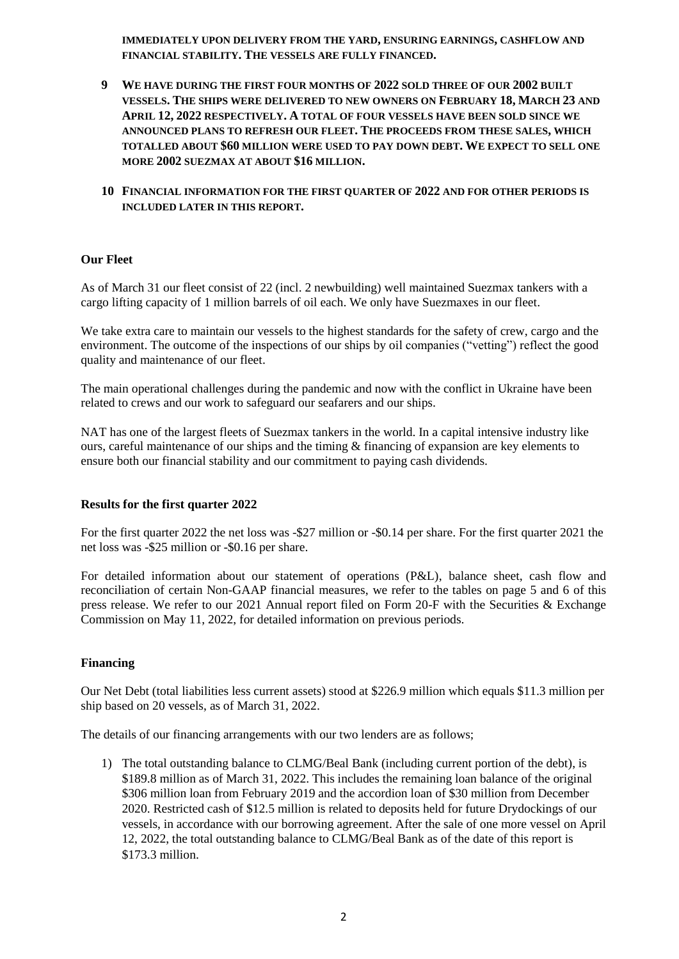**IMMEDIATELY UPON DELIVERY FROM THE YARD, ENSURING EARNINGS, CASHFLOW AND FINANCIAL STABILITY. THE VESSELS ARE FULLY FINANCED.**

- **9 WE HAVE DURING THE FIRST FOUR MONTHS OF 2022 SOLD THREE OF OUR 2002 BUILT VESSELS. THE SHIPS WERE DELIVERED TO NEW OWNERS ON FEBRUARY 18, MARCH 23 AND APRIL 12, 2022 RESPECTIVELY. A TOTAL OF FOUR VESSELS HAVE BEEN SOLD SINCE WE ANNOUNCED PLANS TO REFRESH OUR FLEET. THE PROCEEDS FROM THESE SALES, WHICH TOTALLED ABOUT \$60 MILLION WERE USED TO PAY DOWN DEBT. WE EXPECT TO SELL ONE MORE 2002 SUEZMAX AT ABOUT \$16 MILLION.**
- **10 FINANCIAL INFORMATION FOR THE FIRST QUARTER OF 2022 AND FOR OTHER PERIODS IS INCLUDED LATER IN THIS REPORT.**

#### **Our Fleet**

As of March 31 our fleet consist of 22 (incl. 2 newbuilding) well maintained Suezmax tankers with a cargo lifting capacity of 1 million barrels of oil each. We only have Suezmaxes in our fleet.

We take extra care to maintain our vessels to the highest standards for the safety of crew, cargo and the environment. The outcome of the inspections of our ships by oil companies ("vetting") reflect the good quality and maintenance of our fleet.

The main operational challenges during the pandemic and now with the conflict in Ukraine have been related to crews and our work to safeguard our seafarers and our ships.

NAT has one of the largest fleets of Suezmax tankers in the world. In a capital intensive industry like ours, careful maintenance of our ships and the timing & financing of expansion are key elements to ensure both our financial stability and our commitment to paying cash dividends.

#### **Results for the first quarter 2022**

For the first quarter 2022 the net loss was -\$27 million or -\$0.14 per share. For the first quarter 2021 the net loss was -\$25 million or -\$0.16 per share.

For detailed information about our statement of operations (P&L), balance sheet, cash flow and reconciliation of certain Non-GAAP financial measures, we refer to the tables on page 5 and 6 of this press release. We refer to our 2021 Annual report filed on Form 20-F with the Securities & Exchange Commission on May 11, 2022, for detailed information on previous periods.

#### **Financing**

Our Net Debt (total liabilities less current assets) stood at \$226.9 million which equals \$11.3 million per ship based on 20 vessels, as of March 31, 2022.

The details of our financing arrangements with our two lenders are as follows;

1) The total outstanding balance to CLMG/Beal Bank (including current portion of the debt), is \$189.8 million as of March 31, 2022. This includes the remaining loan balance of the original \$306 million loan from February 2019 and the accordion loan of \$30 million from December 2020. Restricted cash of \$12.5 million is related to deposits held for future Drydockings of our vessels, in accordance with our borrowing agreement. After the sale of one more vessel on April 12, 2022, the total outstanding balance to CLMG/Beal Bank as of the date of this report is \$173.3 million.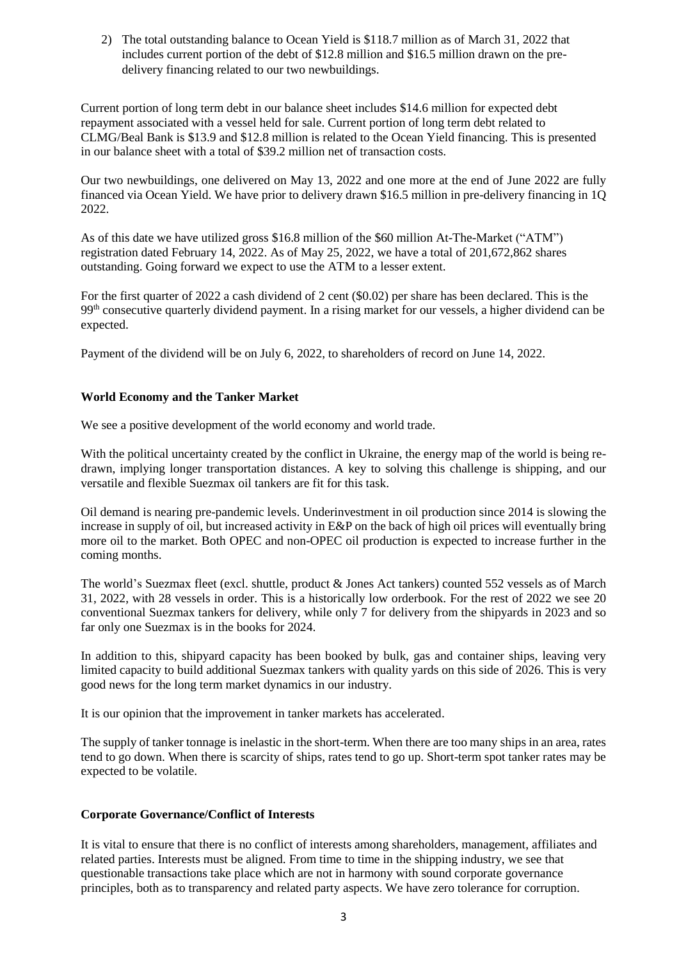2) The total outstanding balance to Ocean Yield is \$118.7 million as of March 31, 2022 that includes current portion of the debt of \$12.8 million and \$16.5 million drawn on the predelivery financing related to our two newbuildings.

Current portion of long term debt in our balance sheet includes \$14.6 million for expected debt repayment associated with a vessel held for sale. Current portion of long term debt related to CLMG/Beal Bank is \$13.9 and \$12.8 million is related to the Ocean Yield financing. This is presented in our balance sheet with a total of \$39.2 million net of transaction costs.

Our two newbuildings, one delivered on May 13, 2022 and one more at the end of June 2022 are fully financed via Ocean Yield. We have prior to delivery drawn \$16.5 million in pre-delivery financing in 1Q 2022.

As of this date we have utilized gross \$16.8 million of the \$60 million At-The-Market ("ATM") registration dated February 14, 2022. As of May 25, 2022, we have a total of 201,672,862 shares outstanding. Going forward we expect to use the ATM to a lesser extent.

For the first quarter of 2022 a cash dividend of 2 cent (\$0.02) per share has been declared. This is the 99th consecutive quarterly dividend payment. In a rising market for our vessels, a higher dividend can be expected.

Payment of the dividend will be on July 6, 2022, to shareholders of record on June 14, 2022.

### **World Economy and the Tanker Market**

We see a positive development of the world economy and world trade.

With the political uncertainty created by the conflict in Ukraine, the energy map of the world is being redrawn, implying longer transportation distances. A key to solving this challenge is shipping, and our versatile and flexible Suezmax oil tankers are fit for this task.

Oil demand is nearing pre-pandemic levels. Underinvestment in oil production since 2014 is slowing the increase in supply of oil, but increased activity in E&P on the back of high oil prices will eventually bring more oil to the market. Both OPEC and non-OPEC oil production is expected to increase further in the coming months.

The world's Suezmax fleet (excl. shuttle, product & Jones Act tankers) counted 552 vessels as of March 31, 2022, with 28 vessels in order. This is a historically low orderbook. For the rest of 2022 we see 20 conventional Suezmax tankers for delivery, while only 7 for delivery from the shipyards in 2023 and so far only one Suezmax is in the books for 2024.

In addition to this, shipyard capacity has been booked by bulk, gas and container ships, leaving very limited capacity to build additional Suezmax tankers with quality yards on this side of 2026. This is very good news for the long term market dynamics in our industry.

It is our opinion that the improvement in tanker markets has accelerated.

The supply of tanker tonnage is inelastic in the short-term. When there are too many ships in an area, rates tend to go down. When there is scarcity of ships, rates tend to go up. Short-term spot tanker rates may be expected to be volatile.

## **Corporate Governance/Conflict of Interests**

It is vital to ensure that there is no conflict of interests among shareholders, management, affiliates and related parties. Interests must be aligned. From time to time in the shipping industry, we see that questionable transactions take place which are not in harmony with sound corporate governance principles, both as to transparency and related party aspects. We have zero tolerance for corruption.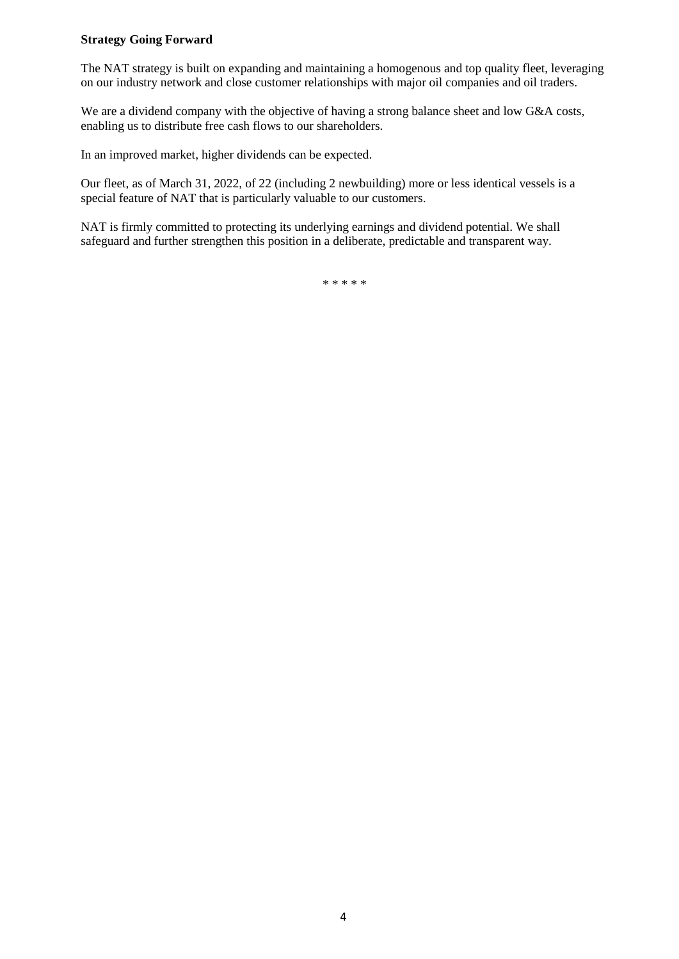### **Strategy Going Forward**

The NAT strategy is built on expanding and maintaining a homogenous and top quality fleet, leveraging on our industry network and close customer relationships with major oil companies and oil traders.

We are a dividend company with the objective of having a strong balance sheet and low G&A costs, enabling us to distribute free cash flows to our shareholders.

In an improved market, higher dividends can be expected.

Our fleet, as of March 31, 2022, of 22 (including 2 newbuilding) more or less identical vessels is a special feature of NAT that is particularly valuable to our customers.

NAT is firmly committed to protecting its underlying earnings and dividend potential. We shall safeguard and further strengthen this position in a deliberate, predictable and transparent way.

\* \* \* \* \*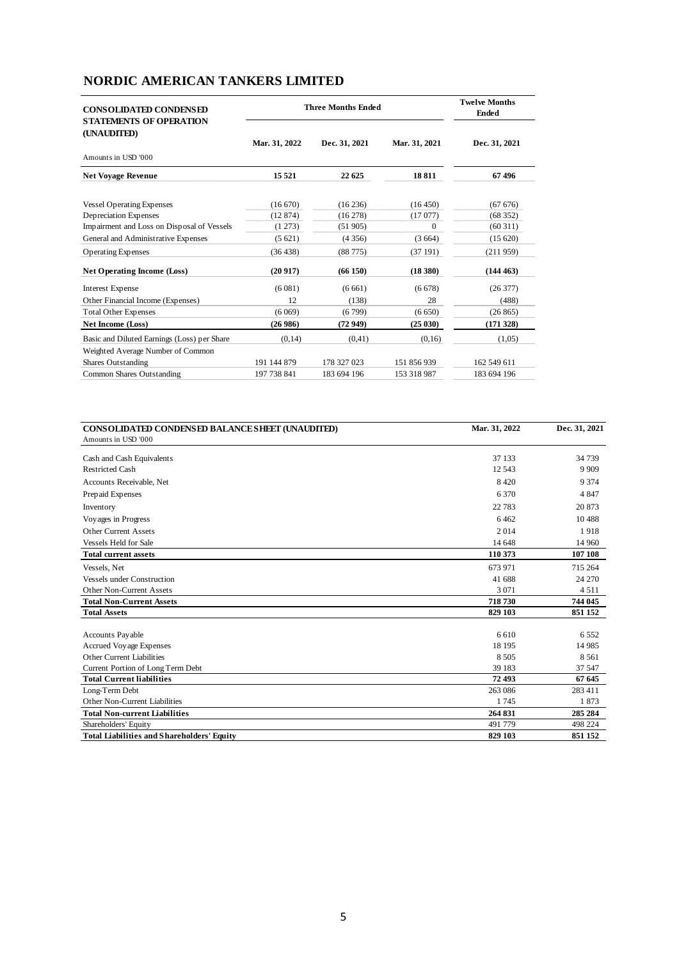# **NORDIC AMERICAN TANKERS LIMITED**

| <b>CONSOLIDATED CONDENSED</b><br><b>STATEMENTS OF OPERATION</b> | <b>Three Months Ended</b> | <b>Twelve Months</b><br><b>Ended</b> |               |               |
|-----------------------------------------------------------------|---------------------------|--------------------------------------|---------------|---------------|
| (UNAUDITED)                                                     | Mar. 31, 2022             | Dec. 31, 2021                        | Mar. 31, 2021 | Dec. 31, 2021 |
| Amounts in USD '000                                             |                           |                                      |               |               |
| <b>Net Voyage Revenue</b>                                       | 15 5 21                   | 22 625                               | 18811         | 67496         |
| <b>Vessel Operating Expenses</b>                                | (16670)                   | (16236)                              | (16450)       | (6767)        |
| Depreciation Expenses                                           | (12874)                   | (16278)                              | (17077)       | (68352)       |
| Impairment and Loss on Disposal of Vessels                      | (1273)                    | (51905)                              | $\mathbf{0}$  | (60311)       |
| General and Administrative Expenses                             | (5621)                    | (4356)                               | (3664)        | (15620)       |
| <b>Operating Expenses</b>                                       | (36438)                   | (88775)                              | (37191)       | (211959)      |
| <b>Net Operating Income (Loss)</b>                              | (20917)                   | (66150)                              | (18 380)      | (144463)      |
| Interest Expense                                                | (6081)                    | (6661)                               | (6678)        | (26377)       |
| Other Financial Income (Expenses)                               | 12                        | (138)                                | 28            | (488)         |
| <b>Total Other Expenses</b>                                     | (6069)                    | (6799)                               | (6650)        | (26865)       |
| <b>Net Income (Loss)</b>                                        | (26986)                   | (72949)                              | (25030)       | (171328)      |
| Basic and Diluted Earnings (Loss) per Share                     | (0,14)                    | (0.41)                               | (0,16)        | (1,05)        |
| Weighted Average Number of Common                               |                           |                                      |               |               |
| Shares Outstanding                                              | 191 144 879               | 178 327 023                          | 151 856 939   | 162 549 611   |
| Common Shares Outstanding                                       | 197 738 841               | 183 694 196                          | 153 318 987   | 183 694 196   |

| CONSOLIDATED CONDENSED BALANCE SHEET (UNAUDITED)  | Mar. 31, 2022 | Dec. 31, 2021 |
|---------------------------------------------------|---------------|---------------|
| Amounts in USD '000                               |               |               |
| Cash and Cash Equivalents                         | 37 133        | 34 739        |
| <b>Restricted Cash</b>                            | 12.543        | 9 9 0 9       |
| Accounts Receivable, Net                          | 8420          | 9 3 7 4       |
| Prepaid Expenses                                  | 6370          | 4 8 4 7       |
| Inventory                                         | 22 7 8 3      | 20873         |
| Voyages in Progress                               | 6462          | 10488         |
| Other Current Assets                              | 2014          | 1918          |
| <b>Vessels Held for Sale</b>                      | 14 648        | 14 960        |
| <b>Total current assets</b>                       | 110 373       | 107 108       |
| Vessels, Net                                      | 673 971       | 715 264       |
| <b>Vessels under Construction</b>                 | 41 688        | 24 270        |
| Other Non-Current Assets                          | 3 0 7 1       | 4511          |
| <b>Total Non-Current Assets</b>                   | 718730        | 744 045       |
| <b>Total Assets</b>                               | 829 103       | 851 152       |
|                                                   |               |               |
| Accounts Payable                                  | 6 6 10        | 6552          |
| Accrued Voyage Expenses                           | 18 195        | 14 9 85       |
| Other Current Liabilities                         | 8 5 0 5       | 8 5 6 1       |
| Current Portion of Long Term Debt                 | 39 183        | 37 547        |
| <b>Total Current liabilities</b>                  | 72 493        | 67 645        |
| Long-Term Debt                                    | 263 086       | 283 411       |
| Other Non-Current Liabilities                     | 1745          | 1873          |
| <b>Total Non-current Liabilities</b>              | 264 831       | 285 284       |
| Shareholders' Equity                              | 491 779       | 498 224       |
| <b>Total Liabilities and Shareholders' Equity</b> | 829 103       | 851 152       |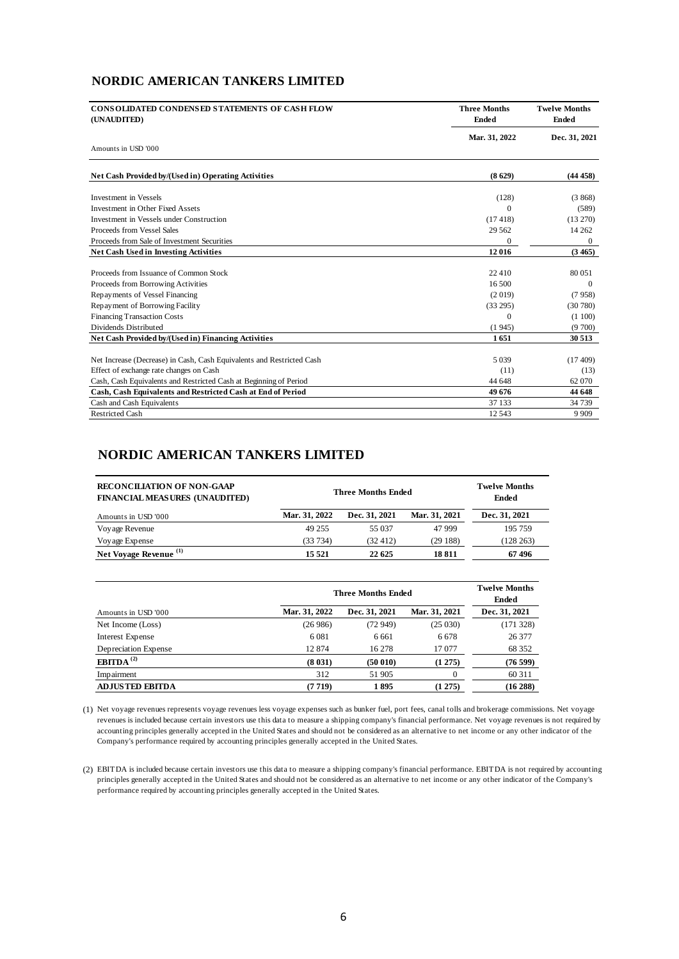## **NORDIC AMERICAN TANKERS LIMITED**

| <b>CONSOLIDATED CONDENSED STATEMENTS OF CASH FLOW</b><br>(UNAUDITED)  | <b>Three Months</b><br><b>Ended</b> | <b>Twelve Months</b><br><b>Ended</b><br>Dec. 31, 2021 |  |
|-----------------------------------------------------------------------|-------------------------------------|-------------------------------------------------------|--|
| Amounts in USD '000                                                   | Mar. 31, 2022                       |                                                       |  |
|                                                                       |                                     |                                                       |  |
| Net Cash Provided by/(Used in) Operating Activities                   | (8629)                              | (44458)                                               |  |
| <b>Investment in Vessels</b>                                          | (128)                               | (3868)                                                |  |
| Investment in Other Fixed Assets                                      | $\Omega$                            | (589)                                                 |  |
| Investment in Vessels under Construction                              | (17.418)                            | (13 270)                                              |  |
| Proceeds from Vessel Sales                                            | 29 5 62                             | 14 2 6 2                                              |  |
| Proceeds from Sale of Investment Securities                           | $\Omega$                            | $\mathbf{0}$                                          |  |
| <b>Net Cash Used in Investing Activities</b>                          | 12 016                              | (3465)                                                |  |
|                                                                       |                                     |                                                       |  |
| Proceeds from Issuance of Common Stock                                | 22 410                              | 80 051                                                |  |
| Proceeds from Borrowing Activities                                    | 16.500                              | $\Omega$                                              |  |
| Repayments of Vessel Financing                                        | (2019)                              | (7958)                                                |  |
| Repayment of Borrowing Facility                                       | (33 295)                            | (30780)                                               |  |
| <b>Financing Transaction Costs</b>                                    | $\Omega$                            | (1100)                                                |  |
| Dividends Distributed                                                 | (1945)                              | (9700)                                                |  |
| Net Cash Provided by/(Used in) Financing Activities                   | 1651                                | 30 513                                                |  |
|                                                                       |                                     |                                                       |  |
| Net Increase (Decrease) in Cash, Cash Equivalents and Restricted Cash | 5 0 3 9                             | (17409)                                               |  |
| Effect of exchange rate changes on Cash                               | (11)                                | (13)                                                  |  |
| Cash, Cash Equivalents and Restricted Cash at Beginning of Period     | 44 648                              | 62 070                                                |  |
| Cash, Cash Equivalents and Restricted Cash at End of Period           | 49 676                              | 44 648                                                |  |
| Cash and Cash Equivalents                                             | 37 133                              | 34 7 39                                               |  |
| <b>Restricted Cash</b>                                                | 12 5 43                             | 9 9 0 9                                               |  |

## **NORDIC AMERICAN TANKERS LIMITED**

| <b>RECONCILIATION OF NON-GAAP</b><br><b>FINANCIAL MEASURES (UNAUDITED)</b> | <b>Three Months Ended</b> |               |               | <b>Twelve Months</b><br>Ended |
|----------------------------------------------------------------------------|---------------------------|---------------|---------------|-------------------------------|
| Amounts in USD '000                                                        | Mar. 31, 2022             | Dec. 31, 2021 | Mar. 31, 2021 | Dec. 31, 2021                 |
| Voyage Revenue                                                             | 49 255                    | 55 037        | 47 999        | 195 759                       |
| Voyage Expense                                                             | (33 734)                  | (32, 412)     | (29188)       | (128 263)                     |
| Net Voyage Revenue <sup>(1)</sup>                                          | 15 5 21                   | 22 625        | 18811         | 67496                         |

|                        | <b>Three Months Ended</b> |               |               | <b>Twelve Months</b><br><b>Ended</b> |  |
|------------------------|---------------------------|---------------|---------------|--------------------------------------|--|
| Amounts in USD '000    | Mar. 31, 2022             | Dec. 31, 2021 | Mar. 31, 2021 | Dec. 31, 2021                        |  |
| Net Income (Loss)      | (26986)                   | (72 949)      | (25030)       | (171328)                             |  |
| Interest Expense       | 6 0 8 1                   | 6 6 6 1       | 6 6 7 8       | 26 377                               |  |
| Depreciation Expense   | 12874                     | 16 278        | 17 077        | 68 352                               |  |
| EBITDA <sup>(2)</sup>  | (8031)                    | (50010)       | (1275)        | (76599)                              |  |
| Impairment             | 312                       | 51 905        | 0             | 60 311                               |  |
| <b>ADJUSTED EBITDA</b> | (7719)                    | 1895          | (1275)        | (16 288)                             |  |

(1) Net voyage revenues represents voyage revenues less voyage expenses such as bunker fuel, port fees, canal tolls and brokerage commissions. Net voyage revenues is included because certain investors use this data to measure a shipping company's financial performance. Net voyage revenues is not required by accounting principles generally accepted in the United States and should not be considered as an alternative to net income or any other indicator of the Company's performance required by accounting principles generally accepted in the United States.

(2) EBITDA is included because certain investors use this data to measure a shipping company's financial performance. EBITDA is not required by accounting principles generally accepted in the United States and should not be considered as an alternative to net income or any other indicator of the Company's performance required by accounting principles generally accepted in the United States.